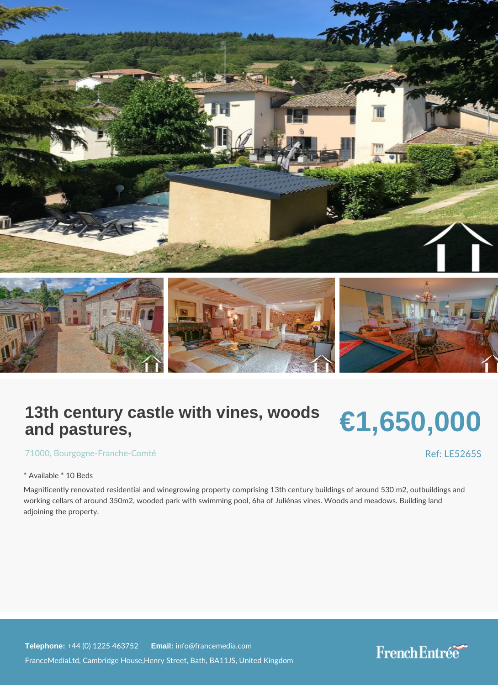## 13th century castle with vines, woods and pastures,

# €1,650,000

[7100](https://www.frenchentree.com/property-for-sale/property-for-sale-france/71000-xx--xx--xx-bourgogne-franche-comte), Bourgogne - Franche - Comté

#### Ref: LE526

\* Available \* 10 Beds

Magnificently renovated residential and winegrowing property comprising 13th century b working cellars of around 350m2, wooded park with swimming pool, 6ha of Juliénas vine adjoining the property.

Telephone:  $+44$  (0) 1225 46  $\frac{25}{100}$  and  $\frac{25}{100}$  francemedia.com

FranceMediaLtd, Cambridge House,Henry Street, Bath, BA11JS, United Kingdom